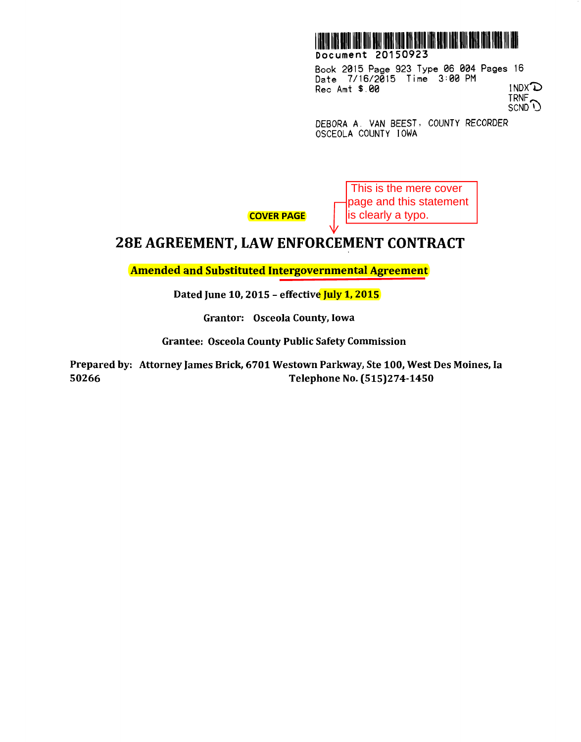

Book 2015 Page 923 Type 06 004 Pages 16 Date 7/16/2015 Time 3:00 PM Rec Amt  $$.00$  INDX<sup> $\mathbb D$ </sup> TRNF

SCND<sup>U</sup>

DEBORA A. VAN BEEST, COUNTY RECORDER OSCEOLA COUNTY IOWA

> This is the mere cover page and this statement

is clearly a typo.

COVER PAGE

## **28E AGREEMENT, LAW ENFORCEMENT CONTRACT**

Amended and Substituted Intergovernmental Agreement

Dated June 10, 2015 - effective July 1, 2015

Grantor: Osceola County, Iowa

Grantee: Osceola County Public Safety Commission

Prepared by: Attorney James Brick, 6701 Westown Parkway, Ste 100, West Des Moines, Ia 50266 Telephone No. (515)274-1450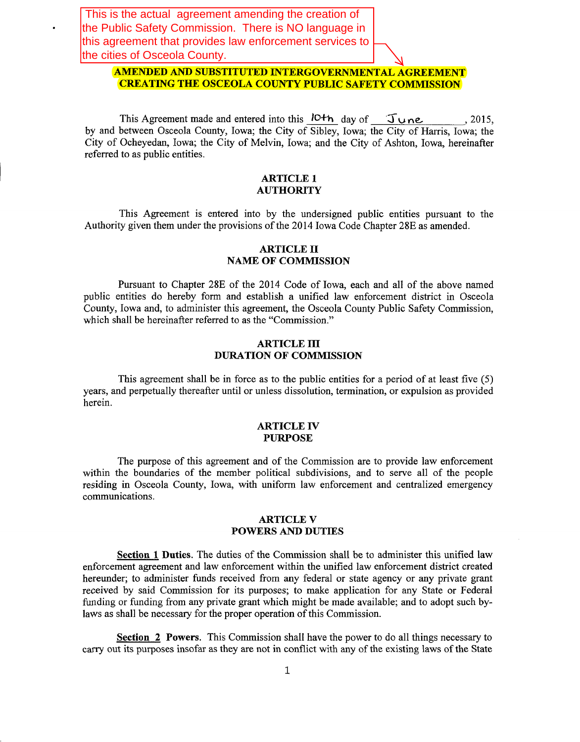This is the actual agreement amending the creation of the Public Safety Commission. There is NO language in this agreement that provides law enforcement services to the cities of Osceola County.

#### **AMENDED AND SUBSTITUTED INTERGOVERNMENTAL AGREEMENT CREATING THE OSCEOLA COUNTY PUBLIC SAFETY COMMISSION**

This Agreement made and entered into this  $10+h$  day of  $\int \ln n e$ , 2015, by and between Osceola County, Iowa; the City of Sibley, Iowa; the City of Harris, Iowa; the City of Ocheyedan, Iowa; the City of Melvin, Iowa; and the City of Ashton, Iowa, hereinafter referred to as public entities.

#### **ARTICLE 1 AUTHORITY**

This Agreement is entered into by the undersigned public entities pursuant to the Authority given them under the provisions of the 2014 Iowa Code Chapter 28E as amended.

#### **ARTICLE II NAME OF COMMISSION**

Pursuant to Chapter 28E of the 2014 Code of Iowa, each and all of the above named public entities do hereby form and establish a unified law enforcement district in Osceola County, Iowa and, to administer this agreement, the Osceola County Public Safety Commission, which shall be hereinafter referred to as the "Commission."

#### **ARTICLE ill DURATION OF COMMISSION**

This agreement shall be in force as to the public entities for a period of at least five (5) years, and perpetually thereafter until or unless dissolution, termination, or expulsion as provided herein.

#### **ARTICLE IV PURPOSE**

The purpose of this agreement and of the Commission are to provide law enforcement within the boundaries of the member political subdivisions, and to serve all of the people residing in Osceola County, Iowa, with uniform law enforcement and centralized emergency communications.

#### **ARTICLE V POWERS AND DUTIES**

**Section 1 Duties.** The duties of the Commission shall be to administer this unified law enforcement agreement and law enforcement within the unified law enforcement district created hereunder; to administer funds received from any federal or state agency or any private grant received by said Commission for its purposes; to make application for any State or Federal funding or funding from any private grant which might be made available; and to adopt such bylaws as shall be necessary for the proper operation of this Commission.

**Section 2 Powers.** This Commission shall have the power to do all things necessary to carry out its purposes insofar as they are not in conflict with any of the existing laws of the State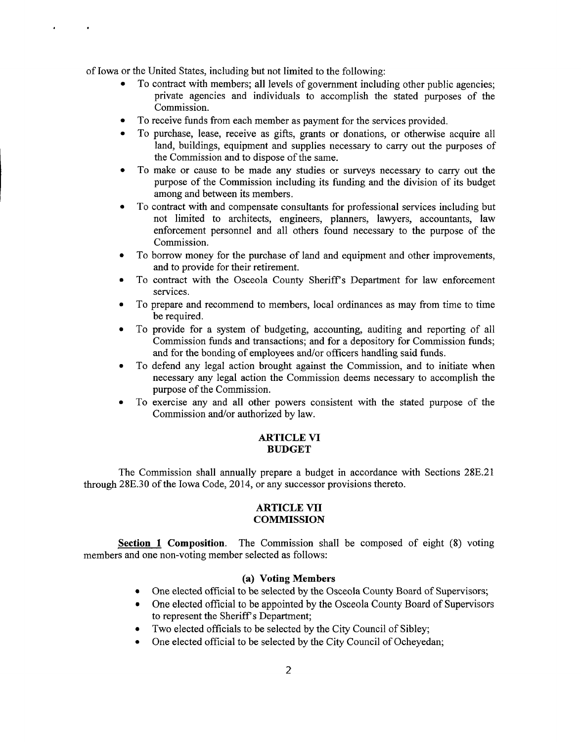of Iowa or the United States, including but not limited to the following:

- To contract with members; all levels of government including other public agencies; private agencies and individuals to accomplish the stated purposes of the Commission.
- To receive funds from each member as payment for the services provided.
- To purchase, lease, receive as gifts, grants or donations, or otherwise acquire all land, buildings, equipment and supplies necessary to carry out the purposes of the Commission and to dispose of the same.
- To make or cause to be made any studies or surveys necessary to carry out the purpose of the Commission including its funding and the division of its budget among and between its members.
- To contract with and compensate consultants for professional services including but not limited to architects, engineers, planners, lawyers, accountants, law enforcement personnel and all others found necessary to the purpose of the Commission.
- To borrow money for the purchase of land and equipment and other improvements, and to provide for their retirement.
- To contract with the Osceola County Sheriffs Department for law enforcement services.
- To prepare and recommend to members, local ordinances as may from time to time be required.
- To provide for a system of budgeting, accounting, auditing and reporting of all Commission funds and transactions; and for a depository for Commission funds; and for the bonding of employees and/or officers handling said funds.
- To defend any legal action brought against the Commission, and to initiate when necessary any legal action the Commission deems necessary to accomplish the purpose of the Commission.
- To exercise any and all other powers consistent with the stated purpose of the Commission and/or authorized by law.

#### **ARTICLE VI BUDGET**

The Commission shall annually prepare a budget in accordance with Sections 28E.21 through 28E.30 of the Iowa Code, 2014, or any successor provisions thereto.

#### **ARTICLE VII COMMISSION**

**Section 1 Composition.** The Commission shall be composed of eight (8) voting members and one non-voting member selected as follows:

#### **(a) Voting Members**

- One elected official to be selected by the Osceola County Board of Supervisors;
- One elected official to be appointed by the Osceola County Board of Supervisors to represent the Sheriff's Department;
- Two elected officials to be selected by the City Council of Sibley;
- One elected official to be selected by the City Council of Ocheyedan;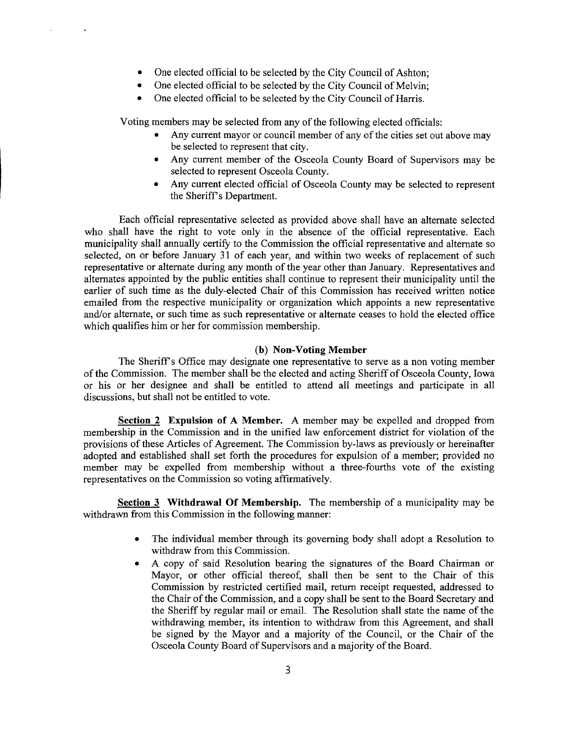- One elected official to be selected by the City Council of Ashton;
- One elected official to be selected by the City Council of Melvin;
- One elected official to be selected by the City Council of Harris.

Voting members may be selected from any of the following elected officials:

- Any current mayor or council member of any of the cities set out above may be selected to represent that city.
- Any current member of the Osceola County Board of Supervisors may be selected to represent Osceola County.
- Any current elected official of Osceola County may be selected to represent the Sheriff's Department.

Each official representative selected as provided above shall have an alternate selected who shall have the right to vote only in the absence of the official representative. Each municipality shall annually certify to the Commission the official representative and alternate so selected, on or before January 31 of each year, and within two weeks of replacement of such representative or alternate during any month of the year other than January. Representatives and alternates appointed by the public entities shall continue to represent their municipality until the earlier of such time as the duly-elected Chair of this Commission has received written notice emailed from the respective municipality or organization which appoints a new representative and/or alternate, or such time as such representative or alternate ceases to hold the elected office which qualifies him or her for commission membership.

#### **(b) Non-Voting Member**

The Sheriff's Office may designate one representative to serve as a non voting member of the Commission. The member shall be the elected and acting Sheriff of Osceola County, Iowa or his or her designee and shall be entitled to attend all meetings and participate in all discussions, but shall not be entitled to vote.

**Section 2 Expulsion of A Member.** A member may be expelled and dropped from membership in the Commission and in the unified law enforcement district for violation of the provisions of these Articles of Agreement. The Commission by-laws as previously or hereinafter adopted and established shall set forth the procedures for expulsion of a member; provided no member may be expelled from membership without a three-fourths vote of the existing representatives on the Commission so voting affirmatively.

**Section 3 Withdrawal Of Membership.** The membership of a municipality may be withdrawn from this Commission in the following manner:

- The individual member through its governing body shall adopt a Resolution to withdraw from this Commission.
- A copy of said Resolution bearing the signatures of the Board Chairman or Mayor, or other official thereof, shall then be sent to the Chair of this Commission by restricted certified mail, return receipt requested, addressed to the Chair of the Commission, and a copy shall be sent to the Board Secretary and the Sheriff by regular mail or email. The Resolution shall state the name of the withdrawing member, its intention to withdraw from this Agreement, and shall be signed by the Mayor and a majority of the Council, or the Chair of the Osceola County Board of Supervisors and a majority of the Board.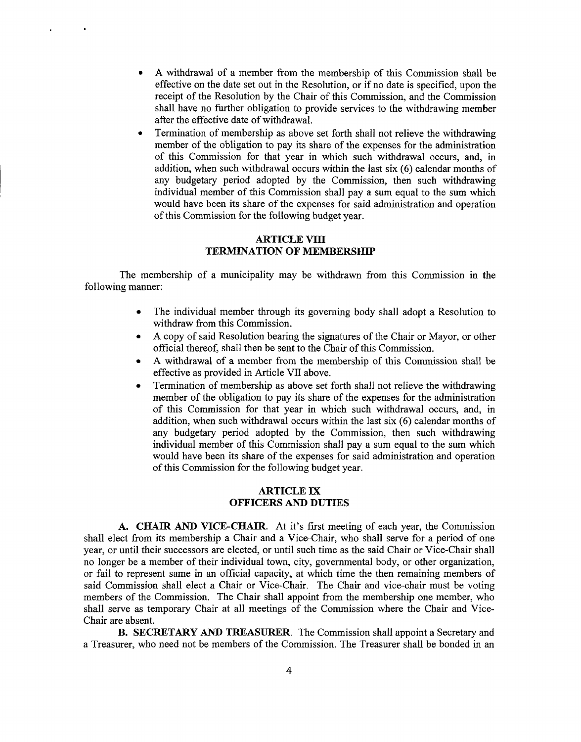• A withdrawal of a member from the membership of this Commission shall be effective on the date set out in the Resolution, or if no date is specified, upon the receipt of the Resolution by the Chair of this Commission, and the Commission shall have no further obligation to provide services to the withdrawing member after the effective date of withdrawal.

 $\ddot{\phantom{a}}$ 

• Termination of membership as above set forth shall not relieve the withdrawing member of the obligation to pay its share of the expenses for the administration of this Commission for that year in which such withdrawal occurs, and, in addition, when such withdrawal occurs within the last six  $(6)$  calendar months of any budgetary period adopted by the Commission, then such withdrawing individual member of this Commission shall pay a sum equal to the sum which would have been its share of the expenses for said administration and operation of this Commission for the following budget year.

#### **ARTICLE VIII TERMINATION OF MEMBERSHIP**

The membership of a municipality may be withdrawn from this Commission in the following manner:

- The individual member through its governing body shall adopt a Resolution to withdraw from this Commission.
- A copy of said Resolution bearing the signatures of the Chair or Mayor, or other official thereof, shall then be sent to the Chair of this Commission.
- A withdrawal of a member from the membership of this Commission shall be effective as provided in Article VII above.
- Termination of membership as above set forth shall not relieve the withdrawing member of the obligation to pay its share of the expenses for the administration of this Commission for that year in which such withdrawal occurs, and, in addition, when such withdrawal occurs within the last six  $(6)$  calendar months of any budgetary period adopted by the Commission, then such withdrawing individual member of this Commission shall pay a sum equal to the sum which would have been its share of the expenses for said administration and operation of this Commission for the following budget year.

#### **ARTICLE IX OFFICERS AND DUTIES**

**A. CHAIR AND VICE-CHAIR.** At it's first meeting of each year, the Commission shall elect from its membership a Chair and a Vice-Chair, who shall serve for a period of one year, or until their successors are elected, or until such time as the said Chair or Vice-Chair shall no longer be a member of their individual town, city, governmental body, or other organization, or fail to represent same in an official capacity, at which time the then remaining members of said Commission shall elect a Chair or Vice-Chair. The Chair and vice-chair must be voting members of the Commission. The Chair shall appoint from the membership one member, who shall serve as temporary Chair at all meetings of the Commission where the Chair and Vice-Chair are absent.

**B. SECRETARY AND TREASURER.** The Commission shall appoint a Secretary and a Treasurer, who need not be members of the Commission. The Treasurer shall be bonded in an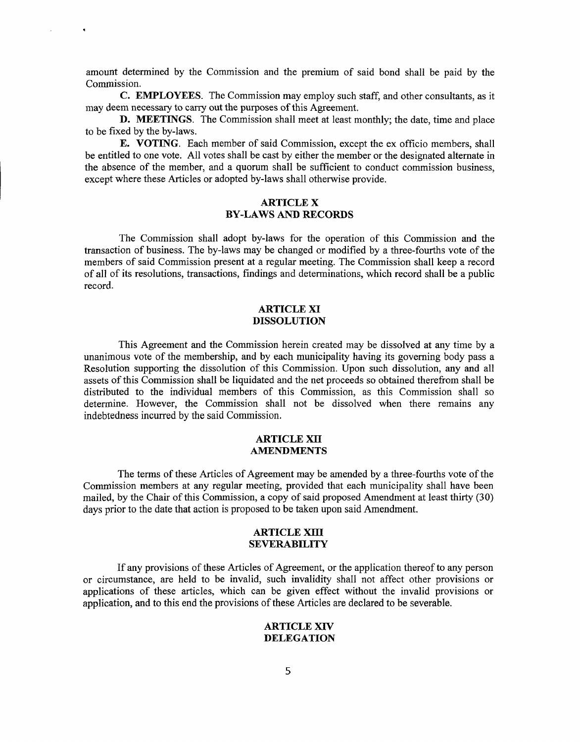amount determined by the Commission and the premium of said bond shall be paid by the Commission.

 $\ddot{\phantom{a}}$ 

**C. EMPLOYEES.** The Commission may employ such staff, and other consultants, as it may deem necessary to carry out the purposes of this Agreement.

**D. MEETINGS.** The Commission shall meet at least monthly; the date, time and place to be fixed by the by-laws.

**E. VOTING.** Each member of said Commission, except the ex officio members, shall be entitled to one vote. All votes shall be cast by either the member or the designated alternate in the absence of the member, and a quorum shall be sufficient to conduct commission business, except where these Articles or adopted by-laws shall otherwise provide.

#### **ARTICLE X BY-LAWS AND RECORDS**

The Commission shall adopt by-laws for the operation of this Commission and the transaction of business. The by-laws may be changed or modified by a three-fourths vote of the members of said Commission present at a regular meeting. The Commission shall keep a record of all of its resolutions, transactions, findings and determinations, which record shall be a public record.

#### **ARTICLE XI DISSOLUTION**

This Agreement and the Commission herein created may be dissolved at any time by a unanimous vote of the membership, and by each municipality having its governing body pass a Resolution supporting the dissolution of this Commission. Upon such dissolution, any and all assets of this Commission shall be liquidated and the net proceeds so obtained therefrom shall be distributed to the individual members of this Commission, as this Commission shall so determine. However, the Commission shall not be dissolved when there remains any indebtedness incurred by the said Commission.

#### **ARTICLE XII AMENDMENTS**

The terms of these Articles of Agreement may be amended by a three-fourths vote of the Commission members at any regular meeting, provided that each municipality shall have been mailed, by the Chair of this Commission, a copy of said proposed Amendment at least thirty (30) days prior to the date that action is proposed to be taken upon said Amendment.

#### **ARTICLE XIII SEVERABILITY**

If any provisions of these Articles of Agreement, or the application thereof to any person or circumstance, are held to be invalid, such invalidity shall not affect other provisions or applications of these articles, which can be given effect without the invalid provisions or application, and to this end the provisions of these Articles are declared to be severable.

#### **ARTICLE XIV DELEGATION**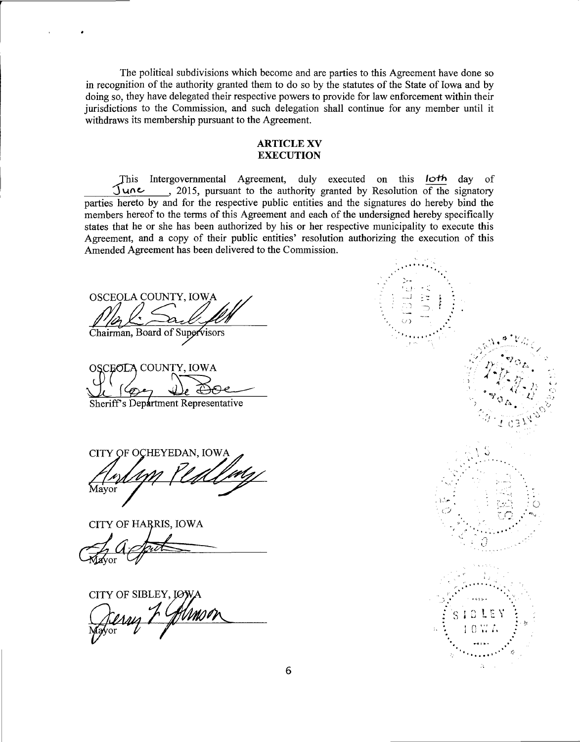The political subdivisions which become and are parties to this Agreement have done so in recognition of the authority granted them to do so by the statutes of the State of Iowa and by doing so, they have delegated their respective powers to provide for law enforcement within their jurisdictions to the Commission, and such delegation shall continue for any member until it withdraws its membership pursuant to the Agreement.

#### **ARTICLE XV EXECUTION**

This Intergovernmental Agreement, duly executed on this loth day of June, 2015, pursuant to the authority granted by Resolution of the signatory parties hereto by and for the respective public entities and the signatures do hereby bind the members hereof to the terms of this Agreement and each of the undersigned hereby specifically states that he or she has been authorized by his or her respective municipality to execute this Agreement, and a copy of their public entities' resolution authorizing the execution of this Amended Agreement has been delivered to the Commission.

OSCEOLA COUNTY, IOWA

Chairman, Board of Supervisors

OSCEOLA COUNTY, IOWA

Sheriff's Department Representative

CITY OF OCHEYEDAN, IOW Mayor

CITY OF HARRIS, IOWA

CITY OF SIBLEY, I

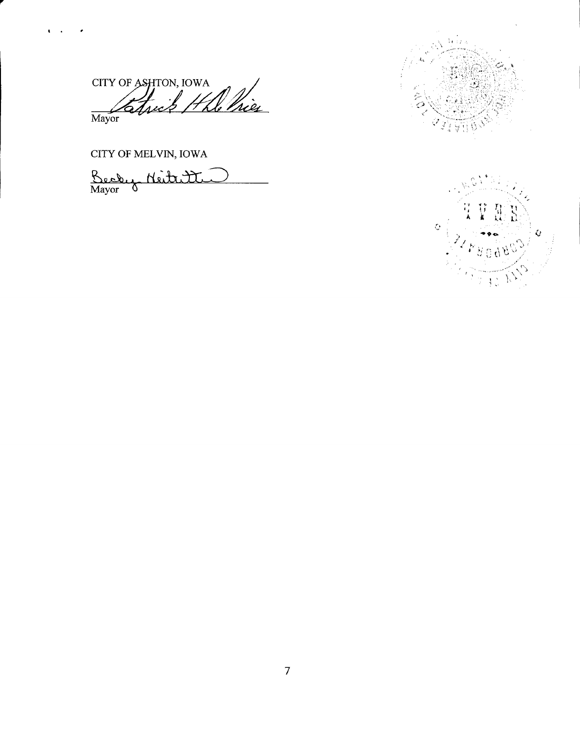CITY OF ASHTON, IOWA He Pries Mayor

CITY OF MELVIN, IOWA

 $\mathbf{C}$ 

 $\bullet$ 

Becky Neitritte



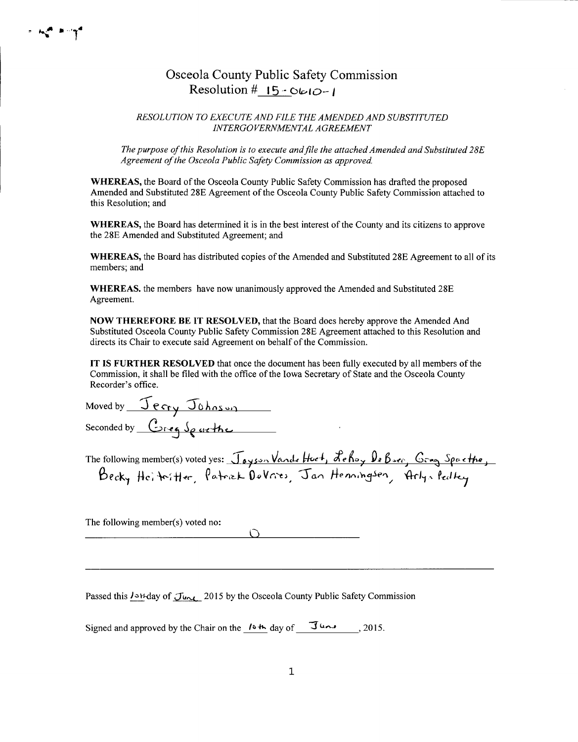## Osceola County Public Safety Commission Resolution #  $15 - 060 - 1$

#### RESOLUTION TO EXECUTE AND FILE THE AMENDED AND SUBSTITUTED INTERGOVERNMENTAL AGREEMENT

The purpose of this Resolution is to execute and file the attached Amended and Substituted 28E Agreement of the Osceola Public Safety Commission as approved.

WHEREAS, the Board of the Osceola County Public Safety Commission has drafted the proposed Amended and Substituted 28E Agreement of the Osceola County Public Safety Commission attached to this Resolution: and

WHEREAS, the Board has determined it is in the best interest of the County and its citizens to approve the 28E Amended and Substituted Agreement; and

WHEREAS, the Board has distributed copies of the Amended and Substituted 28E Agreement to all of its members; and

**WHEREAS**, the members have now unanimously approved the Amended and Substituted 28E Agreement.

NOW THEREFORE BE IT RESOLVED, that the Board does hereby approve the Amended And Substituted Osceola County Public Safety Commission 28E Agreement attached to this Resolution and directs its Chair to execute said Agreement on behalf of the Commission.

IT IS FURTHER RESOLVED that once the document has been fully executed by all members of the Commission, it shall be filed with the office of the Iowa Secretary of State and the Osceola County Recorder's office.

Moved by Jerry Johnson

| The following member(s) voted yes: Joyson Vande Hoet, Lehoy De Boer, Greg Spacthe, |  |  |  |
|------------------------------------------------------------------------------------|--|--|--|
| Becky Heiterther, Patrick DeVries, Jan Henningsen, Arlyn Pedley                    |  |  |  |

The following member(s) voted no:

Passed this *I* SH-day of June 2015 by the Osceola County Public Safety Commission

 $\bigcap$ 

Signed and approved by the Chair on the  $10 + \text{day of}$   $\overline{J}$   $\overline{J}$   $\overline{J}$  . 2015.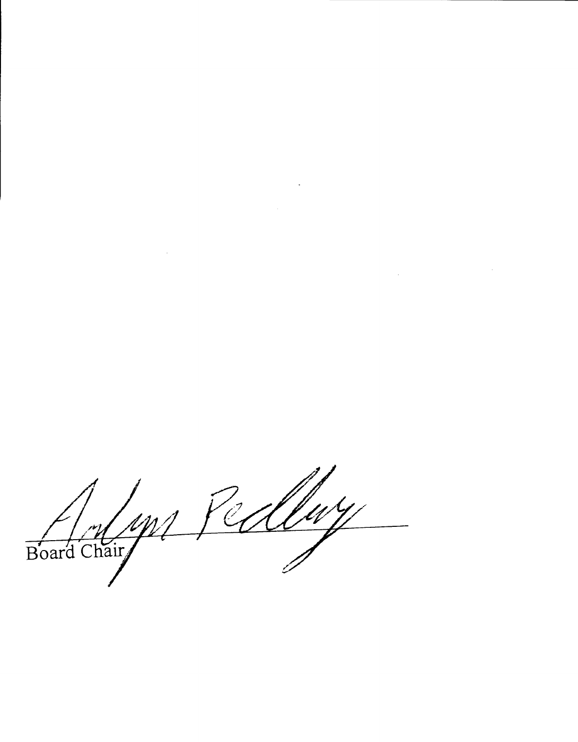Board Chair Jedley

 $\mathcal{L}^{\mathcal{L}}(\mathcal{L}^{\mathcal{L}})$  and  $\mathcal{L}^{\mathcal{L}}(\mathcal{L}^{\mathcal{L}})$  . In the contribution of  $\mathcal{L}^{\mathcal{L}}$ 

 $\label{eq:2.1} \frac{1}{\sqrt{2}}\int_{\mathbb{R}^3}\frac{1}{\sqrt{2}}\left(\frac{1}{\sqrt{2}}\right)^2\frac{1}{\sqrt{2}}\left(\frac{1}{\sqrt{2}}\right)^2\frac{1}{\sqrt{2}}\left(\frac{1}{\sqrt{2}}\right)^2.$ 

 $\label{eq:2.1} \frac{1}{2} \sum_{i=1}^n \frac{1}{2} \sum_{j=1}^n \frac{1}{2} \sum_{j=1}^n \frac{1}{2} \sum_{j=1}^n \frac{1}{2} \sum_{j=1}^n \frac{1}{2} \sum_{j=1}^n \frac{1}{2} \sum_{j=1}^n \frac{1}{2} \sum_{j=1}^n \frac{1}{2} \sum_{j=1}^n \frac{1}{2} \sum_{j=1}^n \frac{1}{2} \sum_{j=1}^n \frac{1}{2} \sum_{j=1}^n \frac{1}{2} \sum_{j=1}^n \frac{$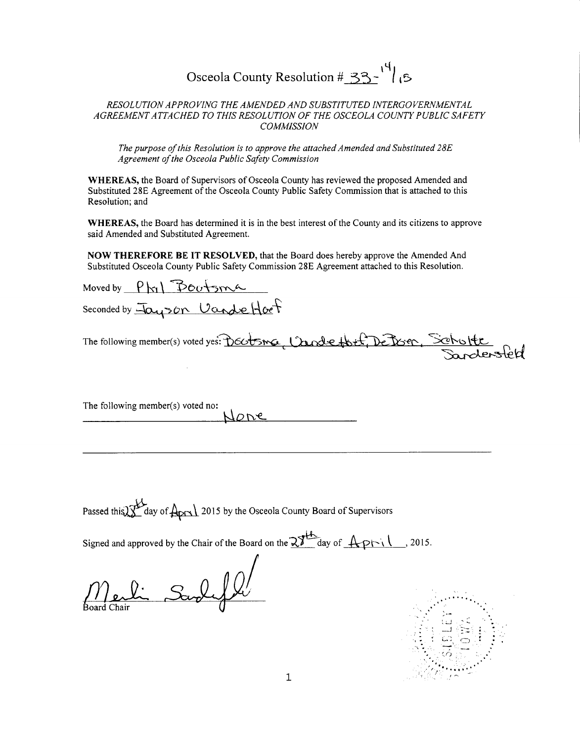## Osceola County Resolution #  $33 - \frac{14}{15}$

#### *RESOLUTION APPROVING THE AMENDED AND SUBSTITUTED INTERGOVERNMENTAL AGREEMENT ATTACHED TO THIS RESOLUTION OF THE OSCEOLA COUNTY PUBLIC SAFETY COMMISSION*

*The purpose of this Resolution is to approve the attached Amended and Substituted 28E Agreement of the Osceola Public Safety Commission* 

**WHEREAS,** the Board of Supervisors of Osceola County has reviewed the proposed Amended and Substituted 28E Agreement of the Osceola County Public Safety Commission that is attached to this Resolution; and

**WHEREAS,** the Board has determined it is in the best interest of the County and its citizens to approve said Amended and Substituted Agreement.

**NOW THEREFORE BE IT RESOLVED,** that the Board does hereby approve the Amended And Substituted Osceola County Public Safety Commission 28E Agreement attached to this Resolution.

Moved by  $P_{hi} \n\Phi$   $\Phi_{\text{tot}}$ Seconded by  $\bar{H}$   $\alpha$   $\gamma$  on  $U$  and  $\alpha$   $\theta$ **'** The following member(s) voted yes: DECOSMG Cande thit, DeDosen

The following member(s) voted no:  $\mu_{\scriptscriptstyle O}$ ne

Passed this  $\frac{1}{2}$  day of  $\frac{1}{4}$  2015 by the Osceola County Board of Supervisors

Signed and approved by the Chair of the Board on the  $\frac{23}{4}$  day of  $\frac{4-p-1}{1}$ , 2015.

Merlin Sardyle

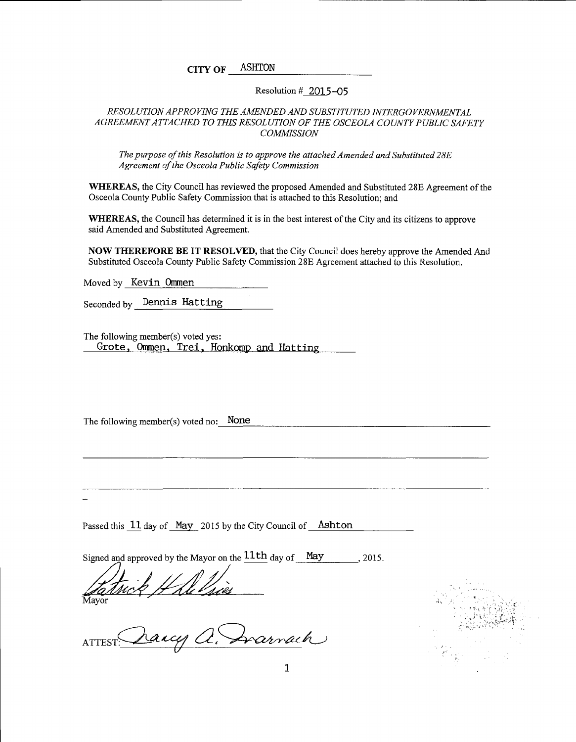CITY OF ASHTON

#### Resolution# 2015-05

#### *RESOLUTION APPROVING THE AMENDED AND SUBSTITUTED INTERGOVERNMENTAL AGREEMENT ATTACHED TO THIS RESOLUTION OF THE OSCEOLA COUNTY PUBLIC SAFETY COMMISSION*

*The purpose of this Resolution is to approve the attached Amended and Substituted 28E Agreement of the Osceola Public Safety Commission* 

WHEREAS, the City Council has reviewed the proposed Amended and Substituted 28E Agreement of the Osceola County Public Safety Commission that is attached to this Resolution; and

WHEREAS, the Council has determined it is in the best interest of the City and its citizens to approve said Amended and Substituted Agreement.

NOW THEREFORE BE IT RESOLVED, that the City Council does hereby approve the Amended And Substituted Osceola County Public Safety Commission 28E Agreement attached to this Resolution.

Moved by Kevin Ommen

Seconded by Dennis Hatting

The following member(s) voted yes: Grote, Ommen, Trei, Honkomp and Hatting

The following member(s) voted no: None

Passed this 11 day of May 2015 by the City Council of Ashton

Signed and approved by the Mayor on the  $11th$  day of May  $-$ , 2015.

Satrick H Ale Pries

Svarnach

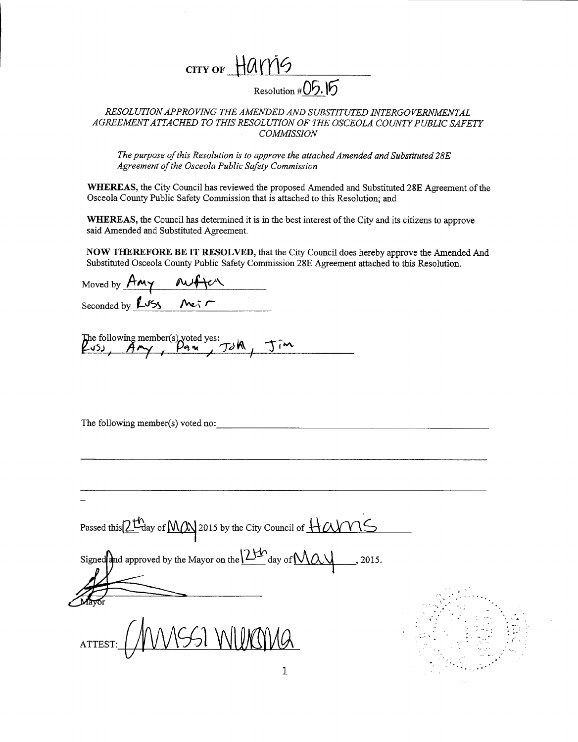

*RESOLUTION APPROVING THE AMENDED AND SUBSTITUTED INTERGOVERNMENTAL AGREEMENT ATTACHED TO THIS RESOLUTION OF THE OSCEOLA COUNTY PUBLIC SAFETY COMMISSION* 

*The purpose of this Resolution is to approve the attached Amended and Substituted 28E Agreement of the Osceola Public Safety Commission* 

**WHEREAS,** the City Council has reviewed the proposed Amended and Substituted 28E Agreement of the Osceola County Public Safety Commission that is attached to this Resolution; and

**WHEREAS,** the Council has determined it is in the best interest of the City and its citizens to approve said Amended and Substituted Agreement.

**NOW THEREFORE BE IT RESOLVED,** that the City Council does hereby approve the Amended And Substituted Osceola County Public Safety Commission 28E Agreement attached to this Resolution.

Moved by Seconded by  $L \sqrt{55}$  $\kappa$   $\sim$ ---~-------------------

The following member(s) voted yes:<br> $A \sim \beta$ መል

The following member(s) voted no:

Passed this  $2^{t}$  ay of  $M$  $\omega$  2015 by the City Council of  $H\alpha\gamma\gamma\zeta$ Signed approved by the Mayor on the  $2\frac{1}{\sqrt{2}}$  day of  $\mathcal{N}\alpha\mathcal{N}$  . 2015. ' . . . '• .·

ATTEST:

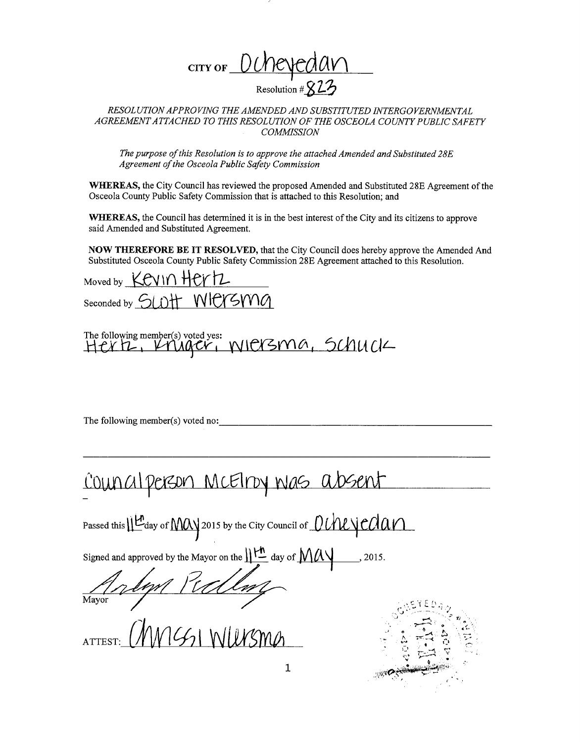

*RESOLUTION APPROVING THE AMENDED AND SUBSTITUTED INTERGOVERNMENTAL AGREEMENT ATTACHED TO THIS RESOLUTION OF THE OSCEOLA COUNTY PUBLIC SAFETY COMMISSION* 

*The purpose of this Resolution is to approve the attached Amended and Substituted 28E Agreement of the Osceola Public Safety Commission* 

**WHEREAS,** the City Council has reviewed the proposed Amended and Substituted 28E Agreement of the Osceola County Public Safety Commission that is attached to this Resolution; and

**WHEREAS,** the Council has determined it is in the best interest of the City and its citizens to approve said Amended and Substituted Agreement.

**NOW THEREFORE BE IT RESOLVED,** that the City Council does hereby approve the Amended And Substituted Osceola County Public Safety Commission 28E Agreement attached to this Resolution.

Moved by **KEVIN HEYTZ** Seconded by SLOTT WRYSMA

The following member(s) voted yes: <br> $HCNL$ ,  $VNACV$ ,  $WICYSMA$ , SCMUCI

The following member(s) voted no:

# Council person McElroy was absent

Passed this  $\mathcal{H}_{\text{day of}}$  MAY 2015 by the City Council of *DUNLYCAAV* 

Signed and approved by the Mayor on the  $\|\mathcal{H}\|$  day of  $\mathcal{M}\mathcal{M}$ , 2015.

Mayor Mellan

31 WUISMA

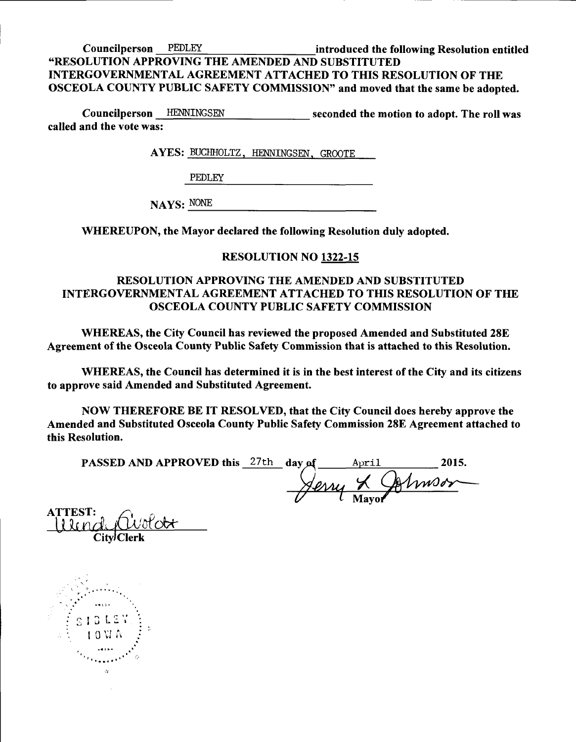Councilperson PEDLEY introduced the following Resolution entitled "RESOLUTION APPROVING THE AMENDED AND SUBSTITUTED INTERGOVERNMENTAL AGREEMENT ATTACHED TO THIS RESOLUTION OF THE OSCEOLA COUNTY PUBLIC SAFETY COMMISSION" and moved that the same be adopted.

Councilperson HENNINGSEN seconded the motion to adopt. The roll was called and the vote was:

A YES: BUCHHOLTZ, HENNINGSEN, GROOTE

PEDLEY

NAYS: NONE NONE

WHEREUPON, the Mayor declared the following Resolution duly adopted.

## RESOLUTION NO 1322-15

## RESOLUTION APPROVING THE AMENDED AND SUBSTITUTED INTERGOVERNMENTAL AGREEMENT ATTACHED TO THIS RESOLUTION OF THE OSCEOLA COUNTY PUBLIC SAFETY COMMISSION

WHEREAS, the City Council has reviewed the proposed Amended and Substituted 28E Agreement of the Osceola County Public Safety Commission that is attached to this Resolution.

WHEREAS, the Council has determined it is in the best interest of the City and its citizens to approve said Amended and Substituted Agreement.

NOW THEREFORE BE IT RESOLVED, that the City Council does hereby approve the Amended and Substituted Osceola County Public Safety Commission 28E Agreement attached to this Resolution.

| <b>PASSED AND APPROVED this</b> 27th day of |  | April           | 2015. |
|---------------------------------------------|--|-----------------|-------|
|                                             |  | Serry & Colmson |       |
|                                             |  | Mayor           |       |

<sup>t</sup>i it *n d\ r* u L<:>b-t- ATTEST: ffi *.Ji*  <sup>"</sup> City<sup>J</sup>Clerk